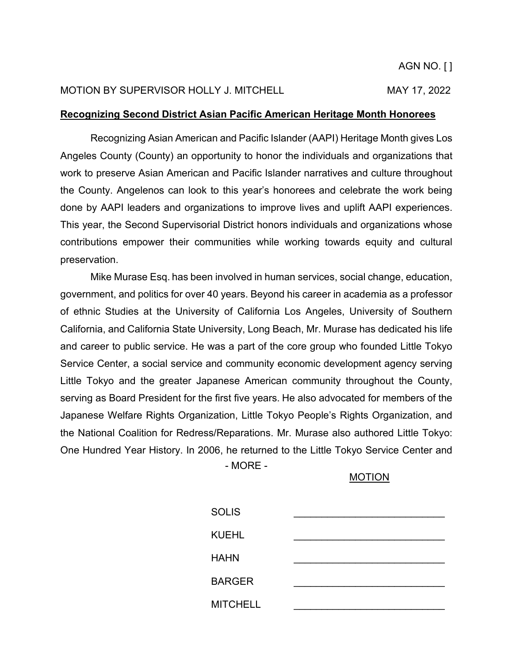## MOTION BY SUPERVISOR HOLLY J. MITCHELL MAY 17, 2022

## **Recognizing Second District Asian Pacific American Heritage Month Honorees**

Recognizing Asian American and Pacific Islander (AAPI) Heritage Month gives Los Angeles County (County) an opportunity to honor the individuals and organizations that work to preserve Asian American and Pacific Islander narratives and culture throughout the County. Angelenos can look to this year's honorees and celebrate the work being done by AAPI leaders and organizations to improve lives and uplift AAPI experiences. This year, the Second Supervisorial District honors individuals and organizations whose contributions empower their communities while working towards equity and cultural preservation.

- MORE - Mike Murase Esq. has been involved in human services, social change, education, government, and politics for over 40 years. Beyond his career in academia as a professor of ethnic Studies at the University of California Los Angeles, University of Southern California, and California State University, Long Beach, Mr. Murase has dedicated his life and career to public service. He was a part of the core group who founded Little Tokyo Service Center, a social service and community economic development agency serving Little Tokyo and the greater Japanese American community throughout the County, serving as Board President for the first five years. He also advocated for members of the Japanese Welfare Rights Organization, Little Tokyo People's Rights Organization, and the National Coalition for Redress/Reparations. Mr. Murase also authored Little Tokyo: One Hundred Year History. In 2006, he returned to the Little Tokyo Service Center and

MOTION

| <b>SOLIS</b>    |  |
|-----------------|--|
| <b>KUEHL</b>    |  |
| <b>HAHN</b>     |  |
| <b>BARGER</b>   |  |
| <b>MITCHELL</b> |  |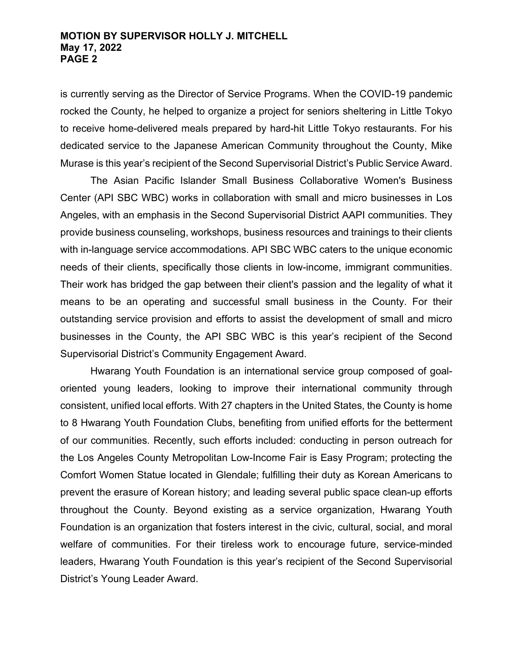### **MOTION BY SUPERVISOR HOLLY J. MITCHELL May 17, 2022 PAGE 2**

is currently serving as the Director of Service Programs. When the COVID-19 pandemic rocked the County, he helped to organize a project for seniors sheltering in Little Tokyo to receive home-delivered meals prepared by hard-hit Little Tokyo restaurants. For his dedicated service to the Japanese American Community throughout the County, Mike Murase is this year's recipient of the Second Supervisorial District's Public Service Award.

The Asian Pacific Islander Small Business Collaborative Women's Business Center (API SBC WBC) works in collaboration with small and micro businesses in Los Angeles, with an emphasis in the Second Supervisorial District AAPI communities. They provide business counseling, workshops, business resources and trainings to their clients with in-language service accommodations. API SBC WBC caters to the unique economic needs of their clients, specifically those clients in low-income, immigrant communities. Their work has bridged the gap between their client's passion and the legality of what it means to be an operating and successful small business in the County. For their outstanding service provision and efforts to assist the development of small and micro businesses in the County, the API SBC WBC is this year's recipient of the Second Supervisorial District's Community Engagement Award.

Hwarang Youth Foundation is an international service group composed of goaloriented young leaders, looking to improve their international community through consistent, unified local efforts. With 27 chapters in the United States, the County is home to 8 Hwarang Youth Foundation Clubs, benefiting from unified efforts for the betterment of our communities. Recently, such efforts included: conducting in person outreach for the Los Angeles County Metropolitan Low-Income Fair is Easy Program; protecting the Comfort Women Statue located in Glendale; fulfilling their duty as Korean Americans to prevent the erasure of Korean history; and leading several public space clean-up efforts throughout the County. Beyond existing as a service organization, Hwarang Youth Foundation is an organization that fosters interest in the civic, cultural, social, and moral welfare of communities. For their tireless work to encourage future, service-minded leaders, Hwarang Youth Foundation is this year's recipient of the Second Supervisorial District's Young Leader Award.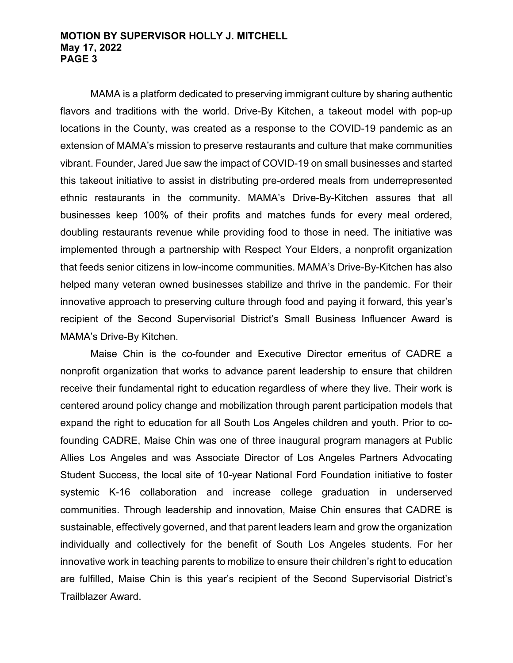#### **MOTION BY SUPERVISOR HOLLY J. MITCHELL May 17, 2022 PAGE 3**

MAMA is a platform dedicated to preserving immigrant culture by sharing authentic flavors and traditions with the world. Drive-By Kitchen, a takeout model with pop-up locations in the County, was created as a response to the COVID-19 pandemic as an extension of MAMA's mission to preserve restaurants and culture that make communities vibrant. Founder, Jared Jue saw the impact of COVID-19 on small businesses and started this takeout initiative to assist in distributing pre-ordered meals from underrepresented ethnic restaurants in the community. MAMA's Drive-By-Kitchen assures that all businesses keep 100% of their profits and matches funds for every meal ordered, doubling restaurants revenue while providing food to those in need. The initiative was implemented through a partnership with Respect Your Elders, a nonprofit organization that feeds senior citizens in low-income communities. MAMA's Drive-By-Kitchen has also helped many veteran owned businesses stabilize and thrive in the pandemic. For their innovative approach to preserving culture through food and paying it forward, this year's recipient of the Second Supervisorial District's Small Business Influencer Award is MAMA's Drive-By Kitchen.

Maise Chin is the co-founder and Executive Director emeritus of CADRE a nonprofit organization that works to advance parent leadership to ensure that children receive their fundamental right to education regardless of where they live. Their work is centered around policy change and mobilization through parent participation models that expand the right to education for all South Los Angeles children and youth. Prior to cofounding CADRE, Maise Chin was one of three inaugural program managers at Public Allies Los Angeles and was Associate Director of Los Angeles Partners Advocating Student Success, the local site of 10-year National Ford Foundation initiative to foster systemic K-16 collaboration and increase college graduation in underserved communities. Through leadership and innovation, Maise Chin ensures that CADRE is sustainable, effectively governed, and that parent leaders learn and grow the organization individually and collectively for the benefit of South Los Angeles students. For her innovative work in teaching parents to mobilize to ensure their children's right to education are fulfilled, Maise Chin is this year's recipient of the Second Supervisorial District's Trailblazer Award.